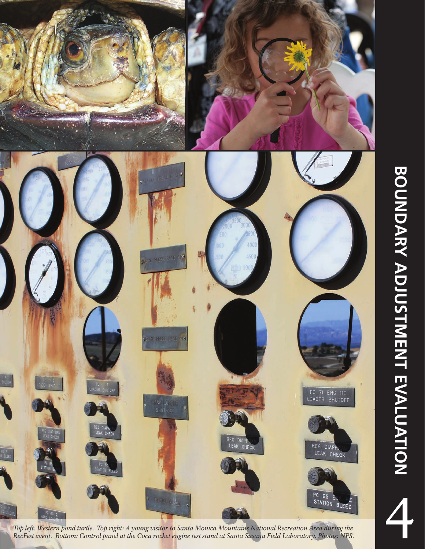



*Top left: Western pond turtle. Top right: A young visitor to Santa Monica Mountains National Recreation Area during the*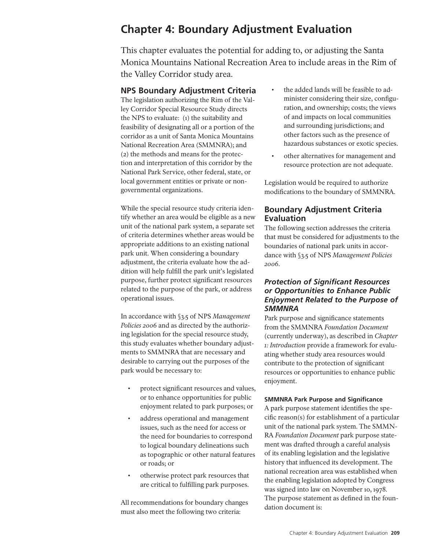# **Chapter 4: Boundary Adjustment Evaluation**

This chapter evaluates the potential for adding to, or adjusting the Santa Monica Mountains National Recreation Area to include areas in the Rim of the Valley Corridor study area.

## **NPS Boundary Adjustment Criteria**

The legislation authorizing the Rim of the Valley Corridor Special Resource Study directs the NPS to evaluate: (1) the suitability and feasibility of designating all or a portion of the corridor as a unit of Santa Monica Mountains National Recreation Area (SMMNRA); and (2) the methods and means for the protection and interpretation of this corridor by the National Park Service, other federal, state, or local government entities or private or nongovernmental organizations.

While the special resource study criteria identify whether an area would be eligible as a new unit of the national park system, a separate set of criteria determines whether areas would be appropriate additions to an existing national park unit. When considering a boundary adjustment, the criteria evaluate how the addition will help fulfill the park unit's legislated purpose, further protect significant resources related to the purpose of the park, or address operational issues.

In accordance with §3.5 of NPS *Management Policies 2006* and as directed by the authorizing legislation for the special resource study, this study evaluates whether boundary adjustments to SMMNRA that are necessary and desirable to carrying out the purposes of the park would be necessary to:

- protect significant resources and values, or to enhance opportunities for public enjoyment related to park purposes; or
- address operational and management issues, such as the need for access or the need for boundaries to correspond to logical boundary delineations such as topographic or other natural features or roads; or
- otherwise protect park resources that are critical to fulfilling park purposes.

All recommendations for boundary changes must also meet the following two criteria:

- the added lands will be feasible to administer considering their size, configuration, and ownership; costs; the views of and impacts on local communities and surrounding jurisdictions; and other factors such as the presence of hazardous substances or exotic species.
- • other alternatives for management and resource protection are not adequate.

Legislation would be required to authorize modifications to the boundary of SMMNRA.

## **Boundary Adjustment Criteria Evaluation**

The following section addresses the criteria that must be considered for adjustments to the boundaries of national park units in accordance with §3.5 of NPS *Management Policies 2006*.

## *Protection of Significant Resources or Opportunities to Enhance Public Enjoyment Related to the Purpose of SMMNRA*

Park purpose and significance statements from the SMMNRA *Foundation Document* (currently underway), as described in *Chapter 1: Introduction* provide a framework for evaluating whether study area resources would contribute to the protection of significant resources or opportunities to enhance public enjoyment.

#### **SMMNRA Park Purpose and Significance**

A park purpose statement identifies the specific reason(s) for establishment of a particular unit of the national park system. The SMMN-RA *Foundation Document* park purpose statement was drafted through a careful analysis of its enabling legislation and the legislative history that influenced its development. The national recreation area was established when the enabling legislation adopted by Congress was signed into law on November 10, 1978. The purpose statement as defined in the foundation document is: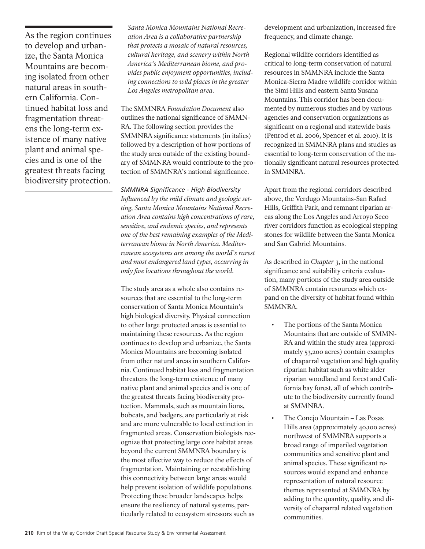As the region continues to develop and urbanize, the Santa Monica Mountains are becoming isolated from other natural areas in southern California. Continued habitat loss and fragmentation threatens the long-term existence of many native plant and animal species and is one of the greatest threats facing biodiversity protection.

*Santa Monica Mountains National Recreation Area is a collaborative partnership that protects a mosaic of natural resources, cultural heritage, and scenery within North America's Mediterranean biome, and provides public enjoyment opportunities, including connections to wild places in the greater Los Angeles metropolitan area.*

The SMMNRA *Foundation Document* also outlines the national significance of SMMN-RA. The following section provides the SMMNRA significance statements (in italics) followed by a description of how portions of the study area outside of the existing boundary of SMMNRA would contribute to the protection of SMMNRA's national significance.

*SMMNRA Significance - High Biodiversity Influenced by the mild climate and geologic setting, Santa Monica Mountains National Recreation Area contains high concentrations of rare, sensitive, and endemic species, and represents one of the best remaining examples of the Mediterranean biome in North America. Mediterranean ecosystems are among the world's rarest and most endangered land types, occurring in only five locations throughout the world.*

The study area as a whole also contains resources that are essential to the long-term conservation of Santa Monica Mountain's high biological diversity. Physical connection to other large protected areas is essential to maintaining these resources. As the region continues to develop and urbanize, the Santa Monica Mountains are becoming isolated from other natural areas in southern California. Continued habitat loss and fragmentation threatens the long-term existence of many native plant and animal species and is one of the greatest threats facing biodiversity protection. Mammals, such as mountain lions, bobcats, and badgers, are particularly at risk and are more vulnerable to local extinction in fragmented areas. Conservation biologists recognize that protecting large core habitat areas beyond the current SMMNRA boundary is the most effective way to reduce the effects of fragmentation. Maintaining or reestablishing this connectivity between large areas would help prevent isolation of wildlife populations. Protecting these broader landscapes helps ensure the resiliency of natural systems, particularly related to ecosystem stressors such as

development and urbanization, increased fire frequency, and climate change.

Regional wildlife corridors identified as critical to long-term conservation of natural resources in SMMNRA include the Santa Monica-Sierra Madre wildlife corridor within the Simi Hills and eastern Santa Susana Mountains. This corridor has been documented by numerous studies and by various agencies and conservation organizations as significant on a regional and statewide basis (Penrod et al. 2006, Spencer et al. 2010). It is recognized in SMMNRA plans and studies as essential to long-term conservation of the nationally significant natural resources protected in SMMNRA.

Apart from the regional corridors described above, the Verdugo Mountains-San Rafael Hills, Griffith Park, and remnant riparian areas along the Los Angeles and Arroyo Seco river corridors function as ecological stepping stones for wildlife between the Santa Monica and San Gabriel Mountains.

As described in *Chapter 3*, in the national significance and suitability criteria evaluation, many portions of the study area outside of SMMNRA contain resources which expand on the diversity of habitat found within SMMNRA.

- The portions of the Santa Monica Mountains that are outside of SMMN-RA and within the study area (approximately 53,200 acres) contain examples of chaparral vegetation and high quality riparian habitat such as white alder riparian woodland and forest and California bay forest, all of which contribute to the biodiversity currently found at SMMNRA.
- The Conejo Mountain Las Posas Hills area (approximately 40,100 acres) northwest of SMMNRA supports a broad range of imperiled vegetation communities and sensitive plant and animal species. These significant resources would expand and enhance representation of natural resource themes represented at SMMNRA by adding to the quantity, quality, and diversity of chaparral related vegetation communities.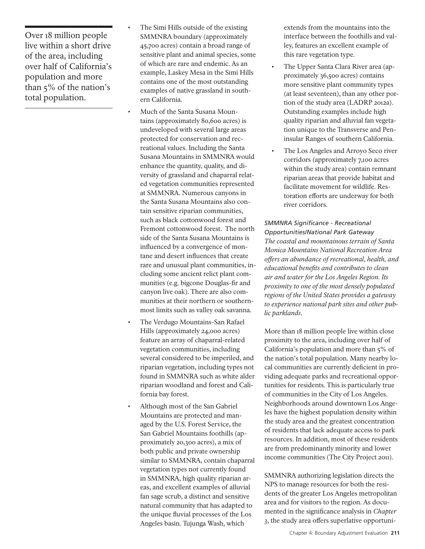Over 18 million people live within a short drive of the area, including over half of California's population and more than 5% of the nation's total population.

- The Simi Hills outside of the existing SMMNRA boundary (approximately 45,700 acres) contain a broad range of sensitive plant and animal species, some of which are rare and endemic. As an example, Laskey Mesa in the Simi Hills contains one of the most outstanding examples of native grassland in southern California.
- Much of the Santa Susana Mountains (approximately 80,600 acres) is undeveloped with several large areas protected for conservation and recreational values. Including the Santa Susana Mountains in SMMNRA would enhance the quantity, quality, and diversity of grassland and chaparral related vegetation communities represented at SMMNRA. Numerous canyons in the Santa Susana Mountains also contain sensitive riparian communities, such as black cottonwood forest and Fremont cottonwood forest. The north side of the Santa Susana Mountains is influenced by a convergence of montane and desert influences that create rare and unusual plant communities, including some ancient relict plant communities (e.g. bigcone Douglas-fir and canyon live oak). There are also communities at their northern or southernmost limits such as valley oak savanna.
- The Verdugo Mountains-San Rafael Hills (approximately 24,000 acres) feature an array of chaparral-related vegetation communities, including several considered to be imperiled, and riparian vegetation, including types not found in SMMNRA such as white alder riparian woodland and forest and California bay forest.
- Although most of the San Gabriel Mountains are protected and managed by the U.S. Forest Service, the San Gabriel Mountains foothills (approximately 20,300 acres), a mix of both public and private ownership similar to SMMNRA, contain chaparral vegetation types not currently found in SMMNRA, high quality riparian areas, and excellent examples of alluvial fan sage scrub, a distinct and sensitive natural community that has adapted to the unique fluvial processes of the Los Angeles basin. Tujunga Wash, which

extends from the mountains into the interface between the foothills and valley, features an excellent example of this rare vegetation type.

- The Upper Santa Clara River area (approximately 36,500 acres) contains more sensitive plant community types (at least seventeen), than any other portion of the study area (LADRP 2012a). Outstanding examples include high quality riparian and alluvial fan vegetation unique to the Transverse and Peninsular Ranges of southern California.
- The Los Angeles and Arroyo Seco river corridors (approximately 7,100 acres within the study area) contain remnant riparian areas that provide habitat and facilitate movement for wildlife. Restoration efforts are underway for both river corridors.

*SMMNRA Significance - Recreational Opportunities/National Park Gateway The coastal and mountainous terrain of Santa Monica Mountains National Recreation Area offers an abundance of recreational, health, and educational benefits and contributes to clean air and water for the Los Angeles Region. Its proximity to one of the most densely populated regions of the United States provides a gateway to experience national park sites and other public parklands.*

More than 18 million people live within close proximity to the area, including over half of California's population and more than 5% of the nation's total population. Many nearby local communities are currently deficient in providing adequate parks and recreational opportunities for residents. This is particularly true of communities in the City of Los Angeles. Neighborhoods around downtown Los Angeles have the highest population density within the study area and the greatest concentration of residents that lack adequate access to park resources. In addition, most of these residents are from predominantly minority and lower income communities (The City Project 2011).

SMMNRA authorizing legislation directs the NPS to manage resources for both the residents of the greater Los Angeles metropolitan area and for visitors to the region. As documented in the significance analysis in *Chapter 3*, the study area offers superlative opportuni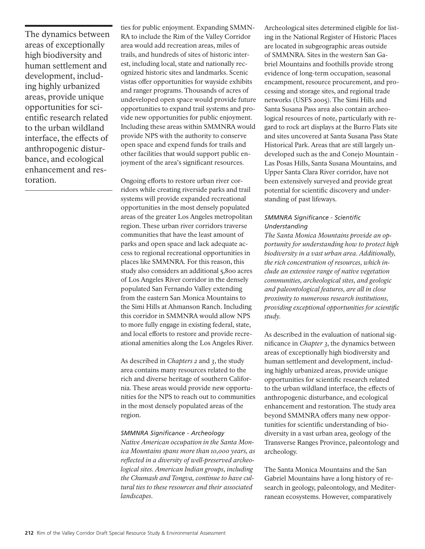The dynamics between areas of exceptionally high biodiversity and human settlement and development, including highly urbanized areas, provide unique opportunities for scientific research related to the urban wildland interface, the effects of anthropogenic disturbance, and ecological enhancement and restoration.

ties for public enjoyment. Expanding SMMN-RA to include the Rim of the Valley Corridor area would add recreation areas, miles of trails, and hundreds of sites of historic interest, including local, state and nationally recognized historic sites and landmarks. Scenic vistas offer opportunities for wayside exhibits and ranger programs. Thousands of acres of undeveloped open space would provide future opportunities to expand trail systems and provide new opportunities for public enjoyment. Including these areas within SMMNRA would provide NPS with the authority to conserve open space and expend funds for trails and other facilities that would support public enjoyment of the area's significant resources.

Ongoing efforts to restore urban river corridors while creating riverside parks and trail systems will provide expanded recreational opportunities in the most densely populated areas of the greater Los Angeles metropolitan region. These urban river corridors traverse communities that have the least amount of parks and open space and lack adequate access to regional recreational opportunities in places like SMMNRA. For this reason, this study also considers an additional 5,800 acres of Los Angeles River corridor in the densely populated San Fernando Valley extending from the eastern San Monica Mountains to the Simi Hills at Ahmanson Ranch. Including this corridor in SMMNRA would allow NPS to more fully engage in existing federal, state, and local efforts to restore and provide recreational amenities along the Los Angeles River.

As described in *Chapters 2* and *3*, the study area contains many resources related to the rich and diverse heritage of southern California. These areas would provide new opportunities for the NPS to reach out to communities in the most densely populated areas of the region.

#### *SMMNRA Significance - Archeology*

*Native American occupation in the Santa Monica Mountains spans more than 10,000 years, as reflected in a diversity of well-preserved archeological sites. American Indian groups, including the Chumash and Tongva, continue to have cultural ties to these resources and their associated landscapes.*

Archeological sites determined eligible for listing in the National Register of Historic Places are located in subgeographic areas outside of SMMNRA. Sites in the western San Gabriel Mountains and foothills provide strong evidence of long-term occupation, seasonal encampment, resource procurement, and processing and storage sites, and regional trade networks (USFS 2005). The Simi Hills and Santa Susana Pass area also contain archeological resources of note, particularly with regard to rock art displays at the Burro Flats site and sites uncovered at Santa Susana Pass State Historical Park. Areas that are still largely undeveloped such as the and Conejo Mountain - Las Posas Hills, Santa Susana Mountains, and Upper Santa Clara River corridor, have not been extensively surveyed and provide great potential for scientific discovery and understanding of past lifeways.

### *SMMNRA Significance - Scientific Understanding*

*The Santa Monica Mountains provide an opportunity for understanding how to protect high biodiversity in a vast urban area. Additionally, the rich concentration of resources, which include an extensive range of native vegetation communities, archeological sites, and geologic and paleontological features, are all in close proximity to numerous research institutions, providing exceptional opportunities for scientific study.*

As described in the evaluation of national significance in *Chapter 3*, the dynamics between areas of exceptionally high biodiversity and human settlement and development, including highly urbanized areas, provide unique opportunities for scientific research related to the urban wildland interface, the effects of anthropogenic disturbance, and ecological enhancement and restoration. The study area beyond SMMNRA offers many new opportunities for scientific understanding of biodiversity in a vast urban area, geology of the Transverse Ranges Province, paleontology and archeology.

The Santa Monica Mountains and the San Gabriel Mountains have a long history of research in geology, paleontology, and Mediterranean ecosystems. However, comparatively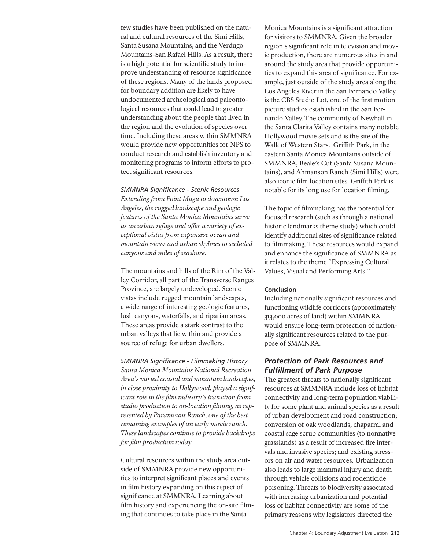few studies have been published on the natural and cultural resources of the Simi Hills, Santa Susana Mountains, and the Verdugo Mountains-San Rafael Hills. As a result, there is a high potential for scientific study to improve understanding of resource significance of these regions. Many of the lands proposed for boundary addition are likely to have undocumented archeological and paleontological resources that could lead to greater understanding about the people that lived in the region and the evolution of species over time. Including these areas within SMMNRA would provide new opportunities for NPS to conduct research and establish inventory and monitoring programs to inform efforts to protect significant resources.

*SMMNRA Significance - Scenic Resources Extending from Point Mugu to downtown Los Angeles, the rugged landscape and geologic features of the Santa Monica Mountains serve as an urban refuge and offer a variety of exceptional vistas from expansive ocean and mountain views and urban skylines to secluded canyons and miles of seashore.*

The mountains and hills of the Rim of the Valley Corridor, all part of the Transverse Ranges Province, are largely undeveloped. Scenic vistas include rugged mountain landscapes, a wide range of interesting geologic features, lush canyons, waterfalls, and riparian areas. These areas provide a stark contrast to the urban valleys that lie within and provide a source of refuge for urban dwellers.

*SMMNRA Significance - Filmmaking History Santa Monica Mountains National Recreation Area's varied coastal and mountain landscapes, in close proximity to Hollywood, played a significant role in the film industry's transition from studio production to on-location filming, as represented by Paramount Ranch, one of the best remaining examples of an early movie ranch. These landscapes continue to provide backdrops for film production today.*

Cultural resources within the study area outside of SMMNRA provide new opportunities to interpret significant places and events in film history expanding on this aspect of significance at SMMNRA. Learning about film history and experiencing the on-site filming that continues to take place in the Santa

Monica Mountains is a significant attraction for visitors to SMMNRA. Given the broader region's significant role in television and movie production, there are numerous sites in and around the study area that provide opportunities to expand this area of significance. For example, just outside of the study area along the Los Angeles River in the San Fernando Valley is the CBS Studio Lot, one of the first motion picture studios established in the San Fernando Valley. The community of Newhall in the Santa Clarita Valley contains many notable Hollywood movie sets and is the site of the Walk of Western Stars. Griffith Park, in the eastern Santa Monica Mountains outside of SMMNRA, Beale's Cut (Santa Susana Mountains), and Ahmanson Ranch (Simi Hills) were also iconic film location sites. Griffith Park is notable for its long use for location filming.

The topic of filmmaking has the potential for focused research (such as through a national historic landmarks theme study) which could identify additional sites of significance related to filmmaking. These resources would expand and enhance the significance of SMMNRA as it relates to the theme "Expressing Cultural Values, Visual and Performing Arts."

#### **Conclusion**

Including nationally significant resources and functioning wildlife corridors (approximately 313,000 acres of land) within SMMNRA would ensure long-term protection of nationally significant resources related to the purpose of SMMNRA.

## *Protection of Park Resources and Fulfillment of Park Purpose*

The greatest threats to nationally significant resources at SMMNRA include loss of habitat connectivity and long-term population viability for some plant and animal species as a result of urban development and road construction; conversion of oak woodlands, chaparral and coastal sage scrub communities (to nonnative grasslands) as a result of increased fire intervals and invasive species; and existing stressors on air and water resources. Urbanization also leads to large mammal injury and death through vehicle collisions and rodenticide poisoning. Threats to biodiversity associated with increasing urbanization and potential loss of habitat connectivity are some of the primary reasons why legislators directed the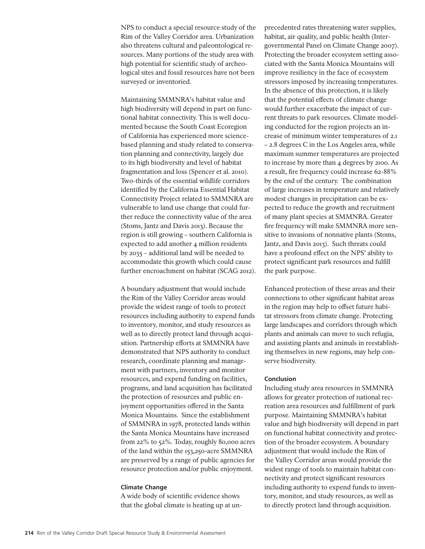NPS to conduct a special resource study of the Rim of the Valley Corridor area. Urbanization also threatens cultural and paleontological resources. Many portions of the study area with high potential for scientific study of archeological sites and fossil resources have not been surveyed or inventoried.

Maintaining SMMNRA's habitat value and high biodiversity will depend in part on functional habitat connectivity. This is well documented because the South Coast Ecoregion of California has experienced more sciencebased planning and study related to conservation planning and connectivity, largely due to its high biodiversity and level of habitat fragmentation and loss (Spencer et al. 2010). Two-thirds of the essential wildlife corridors identified by the California Essential Habitat Connectivity Project related to SMMNRA are vulnerable to land use change that could further reduce the connectivity value of the area (Stoms, Jantz and Davis 2013). Because the region is still growing – southern California is expected to add another 4 million residents by 2035 – additional land will be needed to accommodate this growth which could cause further encroachment on habitat (SCAG 2012).

A boundary adjustment that would include the Rim of the Valley Corridor areas would provide the widest range of tools to protect resources including authority to expend funds to inventory, monitor, and study resources as well as to directly protect land through acquisition. Partnership efforts at SMMNRA have demonstrated that NPS authority to conduct research, coordinate planning and management with partners, inventory and monitor resources, and expend funding on facilities, programs, and land acquisition has facilitated the protection of resources and public enjoyment opportunities offered in the Santa Monica Mountains. Since the establishment of SMMNRA in 1978, protected lands within the Santa Monica Mountains have increased from 22% to 52%. Today, roughly 80,000 acres of the land within the 153,250-acre SMMNRA are preserved by a range of public agencies for resource protection and/or public enjoyment.

#### **Climate Change**

A wide body of scientific evidence shows that the global climate is heating up at un-

precedented rates threatening water supplies, habitat, air quality, and public health (Intergovernmental Panel on Climate Change 2007). Protecting the broader ecosystem setting associated with the Santa Monica Mountains will improve resiliency in the face of ecosystem stressors imposed by increasing temperatures. In the absence of this protection, it is likely that the potential effects of climate change would further exacerbate the impact of current threats to park resources. Climate modeling conducted for the region projects an increase of minimum winter temperatures of 2.1 – 2.8 degrees C in the Los Angeles area, while maximum summer temperatures are projected to increase by more than 4 degrees by 2100. As a result, fire frequency could increase 62-88% by the end of the century. The combination of large increases in temperature and relatively modest changes in precipitation can be expected to reduce the growth and recruitment of many plant species at SMMNRA. Greater fire frequency will make SMMNRA more sensitive to invasions of nonnative plants (Stoms, Jantz, and Davis 2013). Such threats could have a profound effect on the NPS' ability to protect significant park resources and fulfill the park purpose.

Enhanced protection of these areas and their connections to other significant habitat areas in the region may help to offset future habitat stressors from climate change. Protecting large landscapes and corridors through which plants and animals can move to such refugia, and assisting plants and animals in reestablishing themselves in new regions, may help conserve biodiversity.

#### **Conclusion**

Including study area resources in SMMNRA allows for greater protection of national recreation area resources and fulfillment of park purpose. Maintaining SMMNRA's habitat value and high biodiversity will depend in part on functional habitat connectivity and protection of the broader ecosystem. A boundary adjustment that would include the Rim of the Valley Corridor areas would provide the widest range of tools to maintain habitat connectivity and protect significant resources including authority to expend funds to inventory, monitor, and study resources, as well as to directly protect land through acquisition.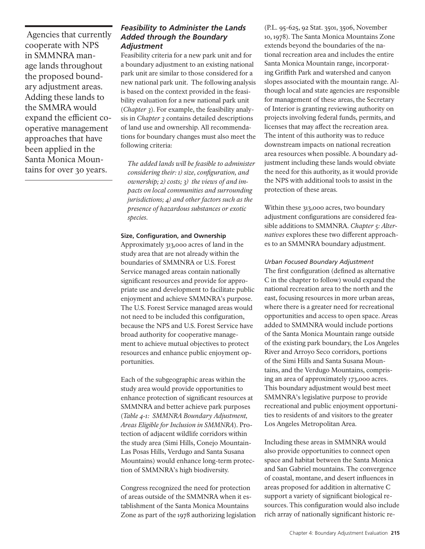Agencies that currently cooperate with NPS in SMMNRA manage lands throughout the proposed boundary adjustment areas. Adding these lands to the SMMRA would expand the efficient cooperative management approaches that have been applied in the Santa Monica Mountains for over 30 years.

## *Feasibility to Administer the Lands Added through the Boundary Adjustment*

Feasibility criteria for a new park unit and for a boundary adjustment to an existing national park unit are similar to those considered for a new national park unit. The following analysis is based on the context provided in the feasibility evaluation for a new national park unit (*Chapter 3*). For example, the feasibility analysis in *Chapter 3* contains detailed descriptions of land use and ownership. All recommendations for boundary changes must also meet the following criteria:

*The added lands will be feasible to administer considering their: 1) size, configuration, and ownership; 2) costs; 3) the views of and impacts on local communities and surrounding jurisdictions; 4) and other factors such as the presence of hazardous substances or exotic species.* 

#### **Size, Configuration, and Ownership**

Approximately 313,000 acres of land in the study area that are not already within the boundaries of SMMNRA or U.S. Forest Service managed areas contain nationally significant resources and provide for appropriate use and development to facilitate public enjoyment and achieve SMMNRA's purpose. The U.S. Forest Service managed areas would not need to be included this configuration, because the NPS and U.S. Forest Service have broad authority for cooperative management to achieve mutual objectives to protect resources and enhance public enjoyment opportunities.

Each of the subgeographic areas within the study area would provide opportunities to enhance protection of significant resources at SMMNRA and better achieve park purposes (*Table 4-1: SMMNRA Boundary Adjustment, Areas Eligible for Inclusion in SMMNRA*). Protection of adjacent wildlife corridors within the study area (Simi Hills, Conejo Mountain-Las Posas Hills, Verdugo and Santa Susana Mountains) would enhance long-term protection of SMMNRA's high biodiversity.

Congress recognized the need for protection of areas outside of the SMMNRA when it establishment of the Santa Monica Mountains Zone as part of the 1978 authorizing legislation

(P.L. 95-625, 92 Stat. 3501, 3506, November 10, 1978). The Santa Monica Mountains Zone extends beyond the boundaries of the national recreation area and includes the entire Santa Monica Mountain range, incorporating Griffith Park and watershed and canyon slopes associated with the mountain range. Although local and state agencies are responsible for management of these areas, the Secretary of Interior is granting reviewing authority on projects involving federal funds, permits, and licenses that may affect the recreation area. The intent of this authority was to reduce downstream impacts on national recreation area resources when possible. A boundary adjustment including these lands would obviate the need for this authority, as it would provide the NPS with additional tools to assist in the protection of these areas.

Within these 313,000 acres, two boundary adjustment configurations are considered feasible additions to SMMNRA. *Chapter 5: Alternatives* explores these two different approaches to an SMMNRA boundary adjustment.

#### *Urban Focused Boundary Adjustment*

The first configuration (defined as alternative C in the chapter to follow) would expand the national recreation area to the north and the east, focusing resources in more urban areas, where there is a greater need for recreational opportunities and access to open space. Areas added to SMMNRA would include portions of the Santa Monica Mountain range outside of the existing park boundary, the Los Angeles River and Arroyo Seco corridors, portions of the Simi Hills and Santa Susana Mountains, and the Verdugo Mountains, comprising an area of approximately 173,000 acres. This boundary adjustment would best meet SMMNRA's legislative purpose to provide recreational and public enjoyment opportunities to residents of and visitors to the greater Los Angeles Metropolitan Area.

Including these areas in SMMNRA would also provide opportunities to connect open space and habitat between the Santa Monica and San Gabriel mountains. The convergence of coastal, montane, and desert influences in areas proposed for addition in alternative C support a variety of significant biological resources. This configuration would also include rich array of nationally significant historic re-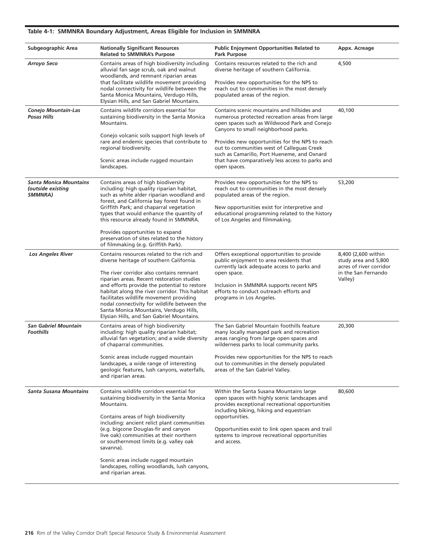#### **Subgeographic Area Nationally Significant Resources Related to SMMNRA's Purpose Public Enjoyment Opportunities Related to Park Purpose Appx. Acreage** *Arroyo Seco* Contains areas of high biodiversity including alluvial fan sage scrub, oak and walnut woodlands, and remnant riparian areas that facilitate wildlife movement providing nodal connectivity for wildlife between the Santa Monica Mountains, Verdugo Hills, Elysian Hills, and San Gabriel Mountains. Contains resources related to the rich and diverse heritage of southern California. Provides new opportunities for the NPS to reach out to communities in the most densely populated areas of the region. 4,500 *Conejo Mountain-Las Posas Hills* Contains wildlife corridors essential for sustaining biodiversity in the Santa Monica Mountains. Conejo volcanic soils support high levels of rare and endemic species that contribute to regional biodiversity. Scenic areas include rugged mountain landscapes. Contains scenic mountains and hillsides and numerous protected recreation areas from large open spaces such as Wildwood Park and Conejo Canyons to small neighborhood parks. Provides new opportunities for the NPS to reach out to communities west of Calleguas Creek such as Camarillo, Port Hueneme, and Oxnard that have comparatively less access to parks and open spaces. 40,100 *Santa Monica Mountains (outside existing SMMNRA)* Contains areas of high biodiversity including: high quality riparian habitat, such as white alder riparian woodland and forest, and California bay forest found in Griffith Park; and chaparral vegetation types that would enhance the quantity of this resource already found in SMMNRA. Provides opportunities to expand preservation of sites related to the history of filmmaking (e.g. Griffith Park). Provides new opportunities for the NPS to reach out to communities in the most densely populated areas of the region. New opportunities exist for interpretive and educational programming related to the history of Los Angeles and filmmaking. 53,200 Los Angeles River **Contains resources related to the rich and** diverse heritage of southern California. The river corridor also contains remnant riparian areas. Recent restoration studies and efforts provide the potential to restore habitat along the river corridor. This habitat facilitates wildlife movement providing nodal connectivity for wildlife between the Santa Monica Mountains, Verdugo Hills, Elysian Hills, and San Gabriel Mountains. Offers exceptional opportunities to provide public enjoyment to area residents that currently lack adequate access to parks and open space. Inclusion in SMMNRA supports recent NPS efforts to conduct outreach efforts and programs in Los Angeles. 8,400 (2,600 within study area and 5,800 acres of river corridor in the San Fernando Valley) *San Gabriel Mountain Foothills* Contains areas of high biodiversity including: high quality riparian habitat; alluvial fan vegetation; and a wide diversity of chaparral communities. Scenic areas include rugged mountain landscapes, a wide range of interesting geologic features, lush canyons, waterfalls, and riparian areas. The San Gabriel Mountain foothills feature many locally managed park and recreation areas ranging from large open spaces and wilderness parks to local community parks. Provides new opportunities for the NPS to reach out to communities in the densely populated areas of the San Gabriel Valley. 20,300 *Santa Susana Mountains* Contains wildlife corridors essential for sustaining biodiversity in the Santa Monica Mountains. Contains areas of high biodiversity including: ancient relict plant communities (e.g. bigcone Douglas-fir and canyon live oak) communities at their northern or southernmost limits (e.g. valley oak savanna). Scenic areas include rugged mountain landscapes, rolling woodlands, lush canyons, and riparian areas. Within the Santa Susana Mountains large open spaces with highly scenic landscapes and provides exceptional recreational opportunities including biking, hiking and equestrian opportunities. Opportunities exist to link open spaces and trail systems to improve recreational opportunities and access. 80,600

#### **Table 4-1: SMMNRA Boundary Adjustment, Areas Eligible for Inclusion in SMMNRA**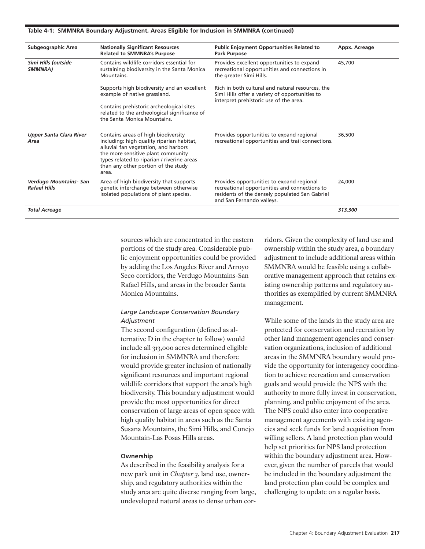| Table 4-1: SMMNRA Boundary Adjustment, Areas Eligible for Inclusion in SMMNRA (continued) |
|-------------------------------------------------------------------------------------------|
|-------------------------------------------------------------------------------------------|

| Subgeographic Area                            | <b>Nationally Significant Resources</b><br><b>Related to SMMNRA's Purpose</b>                                                                                                                                                                                | <b>Public Enjoyment Opportunities Related to</b><br><b>Park Purpose</b>                                                                                                   | Appx. Acreage |
|-----------------------------------------------|--------------------------------------------------------------------------------------------------------------------------------------------------------------------------------------------------------------------------------------------------------------|---------------------------------------------------------------------------------------------------------------------------------------------------------------------------|---------------|
| Simi Hills (outside<br>SMMNRA)                | Contains wildlife corridors essential for<br>sustaining biodiversity in the Santa Monica<br>Mountains.                                                                                                                                                       | Provides excellent opportunities to expand<br>recreational opportunities and connections in<br>the greater Simi Hills.                                                    | 45,700        |
|                                               | Supports high biodiversity and an excellent<br>example of native grassland.                                                                                                                                                                                  | Rich in both cultural and natural resources, the<br>Simi Hills offer a variety of opportunities to<br>interpret prehistoric use of the area.                              |               |
|                                               | Contains prehistoric archeological sites<br>related to the archeological significance of<br>the Santa Monica Mountains.                                                                                                                                      |                                                                                                                                                                           |               |
| <b>Upper Santa Clara River</b><br>Area        | Contains areas of high biodiversity<br>including: high quality riparian habitat,<br>alluvial fan vegetation, and harbors<br>the more sensitive plant community<br>types related to riparian / riverine areas<br>than any other portion of the study<br>area. | Provides opportunities to expand regional<br>recreational opportunities and trail connections.                                                                            | 36,500        |
| Verdugo Mountains- San<br><b>Rafael Hills</b> | Area of high biodiversity that supports<br>genetic interchange between otherwise<br>isolated populations of plant species.                                                                                                                                   | Provides opportunities to expand regional<br>recreational opportunities and connections to<br>residents of the densely populated San Gabriel<br>and San Fernando valleys. | 24,000        |
| <b>Total Acreage</b>                          |                                                                                                                                                                                                                                                              |                                                                                                                                                                           | 313,300       |

sources which are concentrated in the eastern portions of the study area. Considerable public enjoyment opportunities could be provided by adding the Los Angeles River and Arroyo Seco corridors, the Verdugo Mountains-San Rafael Hills, and areas in the broader Santa Monica Mountains.

### *Large Landscape Conservation Boundary Adjustment*

The second configuration (defined as alternative D in the chapter to follow) would include all 313,000 acres determined eligible for inclusion in SMMNRA and therefore would provide greater inclusion of nationally significant resources and important regional wildlife corridors that support the area's high biodiversity. This boundary adjustment would provide the most opportunities for direct conservation of large areas of open space with high quality habitat in areas such as the Santa Susana Mountains, the Simi Hills, and Conejo Mountain-Las Posas Hills areas.

#### **Ownership**

As described in the feasibility analysis for a new park unit in *Chapter 3*, land use, ownership, and regulatory authorities within the study area are quite diverse ranging from large, undeveloped natural areas to dense urban corridors. Given the complexity of land use and ownership within the study area, a boundary adjustment to include additional areas within SMMNRA would be feasible using a collaborative management approach that retains existing ownership patterns and regulatory authorities as exemplified by current SMMNRA management.

While some of the lands in the study area are protected for conservation and recreation by other land management agencies and conservation organizations, inclusion of additional areas in the SMMNRA boundary would provide the opportunity for interagency coordination to achieve recreation and conservation goals and would provide the NPS with the authority to more fully invest in conservation, planning, and public enjoyment of the area. The NPS could also enter into cooperative management agreements with existing agencies and seek funds for land acquisition from willing sellers. A land protection plan would help set priorities for NPS land protection within the boundary adjustment area. However, given the number of parcels that would be included in the boundary adjustment the land protection plan could be complex and challenging to update on a regular basis.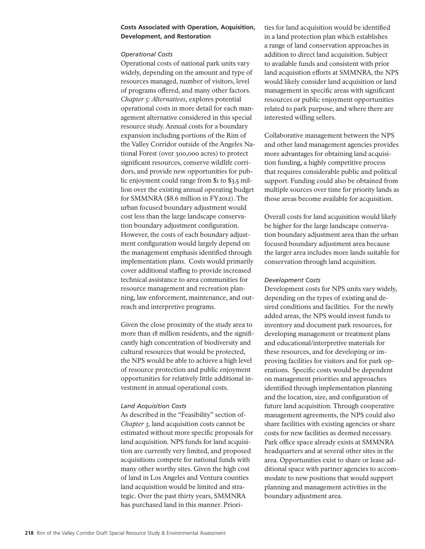## **Costs Associated with Operation, Acquisition, Development, and Restoration**

#### *Operational Costs*

Operational costs of national park units vary widely, depending on the amount and type of resources managed, number of visitors, level of programs offered, and many other factors. *Chapter 5: Alternatives*, explores potential operational costs in more detail for each management alternative considered in this special resource study. Annual costs for a boundary expansion including portions of the Rim of the Valley Corridor outside of the Angeles National Forest (over 300,000 acres) to protect significant resources, conserve wildlife corridors, and provide new opportunities for public enjoyment could range from \$1 to \$3.5 million over the existing annual operating budget for SMMNRA (\$8.6 million in FY2012). The urban focused boundary adjustment would cost less than the large landscape conservation boundary adjustment configuration. However, the costs of each boundary adjustment configuration would largely depend on the management emphasis identified through implementation plans. Costs would primarily cover additional staffing to provide increased technical assistance to area communities for resource management and recreation planning, law enforcement, maintenance, and outreach and interpretive programs.

Given the close proximity of the study area to more than 18 million residents, and the significantly high concentration of biodiversity and cultural resources that would be protected, the NPS would be able to achieve a high level of resource protection and public enjoyment opportunities for relatively little additional investment in annual operational costs.

#### *Land Acquisition Costs*

As described in the "Feasibility" section of-*Chapter 3,* land acquisition costs cannot be estimated without more specific proposals for land acquisition. NPS funds for land acquisition are currently very limited, and proposed acquisitions compete for national funds with many other worthy sites. Given the high cost of land in Los Angeles and Ventura counties land acquisition would be limited and strategic. Over the past thirty years, SMMNRA has purchased land in this manner. Priori-

ties for land acquisition would be identified in a land protection plan which establishes a range of land conservation approaches in addition to direct land acquisition. Subject to available funds and consistent with prior land acquisition efforts at SMMNRA, the NPS would likely consider land acquisition or land management in specific areas with significant resources or public enjoyment opportunities related to park purpose, and where there are interested willing sellers.

Collaborative management between the NPS and other land management agencies provides more advantages for obtaining land acquisition funding, a highly competitive process that requires considerable public and political support. Funding could also be obtained from multiple sources over time for priority lands as those areas become available for acquisition.

Overall costs for land acquisition would likely be higher for the large landscape conservation boundary adjustment area than the urban focused boundary adjustment area because the larger area includes more lands suitable for conservation through land acquisition.

### *Development Costs*

Development costs for NPS units vary widely, depending on the types of existing and desired conditions and facilities. For the newly added areas, the NPS would invest funds to inventory and document park resources, for developing management or treatment plans and educational/interpretive materials for these resources, and for developing or improving facilities for visitors and for park operations. Specific costs would be dependent on management priorities and approaches identified through implementation planning and the location, size, and configuration of future land acquisition. Through cooperative management agreements, the NPS could also share facilities with existing agencies or share costs for new facilities as deemed necessary. Park office space already exists at SMMNRA headquarters and at several other sites in the area. Opportunities exist to share or lease additional space with partner agencies to accommodate to new positions that would support planning and management activities in the boundary adjustment area.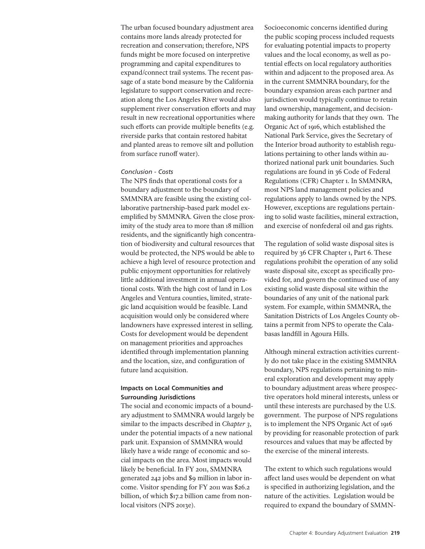The urban focused boundary adjustment area contains more lands already protected for recreation and conservation; therefore, NPS funds might be more focused on interpretive programming and capital expenditures to expand/connect trail systems. The recent passage of a state bond measure by the California legislature to support conservation and recreation along the Los Angeles River would also supplement river conservation efforts and may result in new recreational opportunities where such efforts can provide multiple benefits (e.g. riverside parks that contain restored habitat and planted areas to remove silt and pollution from surface runoff water).

#### *Conclusion - Costs*

The NPS finds that operational costs for a boundary adjustment to the boundary of SMMNRA are feasible using the existing collaborative partnership-based park model exemplified by SMMNRA. Given the close proximity of the study area to more than 18 million residents, and the significantly high concentration of biodiversity and cultural resources that would be protected, the NPS would be able to achieve a high level of resource protection and public enjoyment opportunities for relatively little additional investment in annual operational costs. With the high cost of land in Los Angeles and Ventura counties, limited, strategic land acquisition would be feasible. Land acquisition would only be considered where landowners have expressed interest in selling. Costs for development would be dependent on management priorities and approaches identified through implementation planning and the location, size, and configuration of future land acquisition.

## **Impacts on Local Communities and Surrounding Jurisdictions**

The social and economic impacts of a boundary adjustment to SMMNRA would largely be similar to the impacts described in *Chapter 3*, under the potential impacts of a new national park unit. Expansion of SMMNRA would likely have a wide range of economic and social impacts on the area. Most impacts would likely be beneficial. In FY 2011, SMMNRA generated 242 jobs and \$9 million in labor income. Visitor spending for FY 2011 was \$26.2 billion, of which \$17.2 billion came from nonlocal visitors (NPS 2013e).

Socioeconomic concerns identified during the public scoping process included requests for evaluating potential impacts to property values and the local economy, as well as potential effects on local regulatory authorities within and adjacent to the proposed area. As in the current SMMNRA boundary, for the boundary expansion areas each partner and jurisdiction would typically continue to retain land ownership, management, and decisionmaking authority for lands that they own. The Organic Act of 1916, which established the National Park Service, gives the Secretary of the Interior broad authority to establish regulations pertaining to other lands within authorized national park unit boundaries. Such regulations are found in 36 Code of Federal Regulations (CFR) Chapter 1. In SMMNRA, most NPS land management policies and regulations apply to lands owned by the NPS. However, exceptions are regulations pertaining to solid waste facilities, mineral extraction, and exercise of nonfederal oil and gas rights.

The regulation of solid waste disposal sites is required by 36 CFR Chapter 1, Part 6. These regulations prohibit the operation of any solid waste disposal site, except as specifically provided for, and govern the continued use of any existing solid waste disposal site within the boundaries of any unit of the national park system. For example, within SMMNRA, the Sanitation Districts of Los Angeles County obtains a permit from NPS to operate the Calabasas landfill in Agoura Hills.

Although mineral extraction activities currently do not take place in the existing SMMNRA boundary, NPS regulations pertaining to mineral exploration and development may apply to boundary adjustment areas where prospective operators hold mineral interests, unless or until these interests are purchased by the U.S. government. The purpose of NPS regulations is to implement the NPS Organic Act of 1916 by providing for reasonable protection of park resources and values that may be affected by the exercise of the mineral interests.

The extent to which such regulations would affect land uses would be dependent on what is specified in authorizing legislation, and the nature of the activities. Legislation would be required to expand the boundary of SMMN-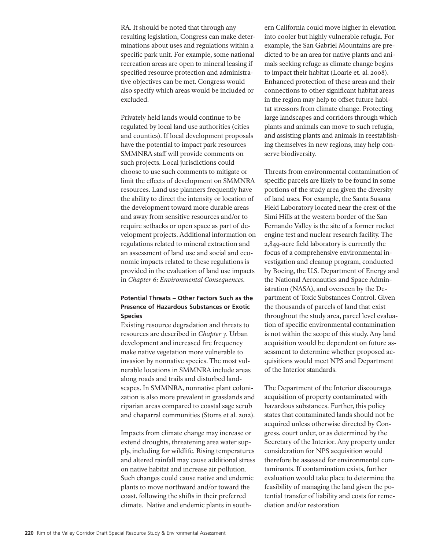RA. It should be noted that through any resulting legislation, Congress can make determinations about uses and regulations within a specific park unit. For example, some national recreation areas are open to mineral leasing if specified resource protection and administrative objectives can be met. Congress would also specify which areas would be included or excluded.

Privately held lands would continue to be regulated by local land use authorities (cities and counties). If local development proposals have the potential to impact park resources SMMNRA staff will provide comments on such projects. Local jurisdictions could choose to use such comments to mitigate or limit the effects of development on SMMNRA resources. Land use planners frequently have the ability to direct the intensity or location of the development toward more durable areas and away from sensitive resources and/or to require setbacks or open space as part of development projects. Additional information on regulations related to mineral extraction and an assessment of land use and social and economic impacts related to these regulations is provided in the evaluation of land use impacts in *Chapter 6: Environmental Consequences*.

## **Potential Threats – Other Factors Such as the Presence of Hazardous Substances or Exotic Species**

Existing resource degradation and threats to resources are described in *Chapter 3*. Urban development and increased fire frequency make native vegetation more vulnerable to invasion by nonnative species. The most vulnerable locations in SMMNRA include areas along roads and trails and disturbed landscapes. In SMMNRA, nonnative plant colonization is also more prevalent in grasslands and riparian areas compared to coastal sage scrub and chaparral communities (Stoms et al. 2012).

Impacts from climate change may increase or extend droughts, threatening area water supply, including for wildlife. Rising temperatures and altered rainfall may cause additional stress on native habitat and increase air pollution. Such changes could cause native and endemic plants to move northward and/or toward the coast, following the shifts in their preferred climate. Native and endemic plants in south-

ern California could move higher in elevation into cooler but highly vulnerable refugia. For example, the San Gabriel Mountains are predicted to be an area for native plants and animals seeking refuge as climate change begins to impact their habitat (Loarie et. al. 2008). Enhanced protection of these areas and their connections to other significant habitat areas in the region may help to offset future habitat stressors from climate change. Protecting large landscapes and corridors through which plants and animals can move to such refugia, and assisting plants and animals in reestablishing themselves in new regions, may help conserve biodiversity.

Threats from environmental contamination of specific parcels are likely to be found in some portions of the study area given the diversity of land uses. For example, the Santa Susana Field Laboratory located near the crest of the Simi Hills at the western border of the San Fernando Valley is the site of a former rocket engine test and nuclear research facility. The 2,849-acre field laboratory is currently the focus of a comprehensive environmental investigation and cleanup program, conducted by Boeing, the U.S. Department of Energy and the National Aeronautics and Space Administration (NASA), and overseen by the Department of Toxic Substances Control. Given the thousands of parcels of land that exist throughout the study area, parcel level evaluation of specific environmental contamination is not within the scope of this study. Any land acquisition would be dependent on future assessment to determine whether proposed acquisitions would meet NPS and Department of the Interior standards.

The Department of the Interior discourages acquisition of property contaminated with hazardous substances. Further, this policy states that contaminated lands should not be acquired unless otherwise directed by Congress, court order, or as determined by the Secretary of the Interior. Any property under consideration for NPS acquisition would therefore be assessed for environmental contaminants. If contamination exists, further evaluation would take place to determine the feasibility of managing the land given the potential transfer of liability and costs for remediation and/or restoration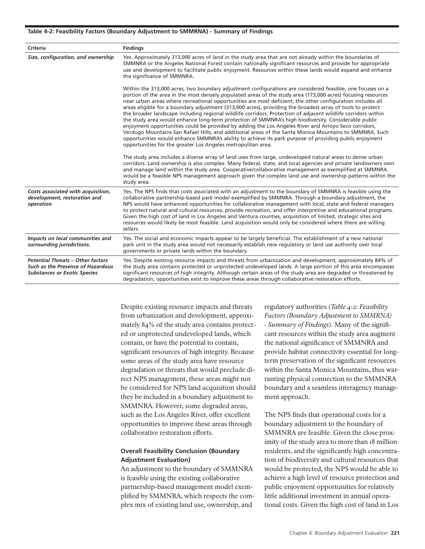#### **Table 4-2: Feasibility Factors (Boundary Adjustment to SMMRNA) - Summary of Findings**

| Criteria                                                                                                             | <b>Findings</b>                                                                                                                                                                                                                                                                                                                                                                                                                                                                                                                                                                                                                                                                                                                                                                                                                                                                                                                                                                                                                                                                                                                                                                                                                                                                                                                                                                                                                                                                                                               |
|----------------------------------------------------------------------------------------------------------------------|-------------------------------------------------------------------------------------------------------------------------------------------------------------------------------------------------------------------------------------------------------------------------------------------------------------------------------------------------------------------------------------------------------------------------------------------------------------------------------------------------------------------------------------------------------------------------------------------------------------------------------------------------------------------------------------------------------------------------------------------------------------------------------------------------------------------------------------------------------------------------------------------------------------------------------------------------------------------------------------------------------------------------------------------------------------------------------------------------------------------------------------------------------------------------------------------------------------------------------------------------------------------------------------------------------------------------------------------------------------------------------------------------------------------------------------------------------------------------------------------------------------------------------|
| Size, configuration, and ownership                                                                                   | Yes. Approximately 313,000 acres of land in the study area that are not already within the boundaries of<br>SMMNRA or the Angeles National Forest contain nationally significant resources and provide for appropriate<br>use and development to facilitate public enjoyment. Resources within these lands would expand and enhance<br>the significance of SMMNRA.                                                                                                                                                                                                                                                                                                                                                                                                                                                                                                                                                                                                                                                                                                                                                                                                                                                                                                                                                                                                                                                                                                                                                            |
|                                                                                                                      | Within the 313,000 acres, two boundary adjustment configurations are considered feasible, one focuses on a<br>portion of the area in the most densely populated areas of the study area (173,000 acres) focusing resources<br>near urban areas where recreational opportunities are most deficient, the other configuration includes all<br>areas eligible for a boundary adjustment (313,000 acres), providing the broadest array of tools to protect<br>the broader landscape including regional wildlife corridors. Protection of adjacent wildlife corridors within<br>the study area would enhance long-term protection of SMMNRA's high biodiversity. Considerable public<br>enjoyment opportunities could be provided by adding the Los Angeles River and Arroyo Seco corridors,<br>Verdugo Mountains-San Rafael Hills, and additional areas of the Santa Monica Mountains to SMMNRA. Such<br>opportunities would enhance SMMNRA's ability to achieve its park purpose of providing public enjoyment<br>opportunities for the greater Los Angeles metropolitan area.<br>The study area includes a diverse array of land uses from large, undeveloped natural areas to dense urban<br>corridors. Land ownership is also complex. Many federal, state, and local agencies and private landowners own<br>and manage land within the study area. Cooperative/collaborative management as exemplified at SMMNRA<br>would be a feasible NPS management approach given the complex land use and ownership patterns within the |
|                                                                                                                      | study area.                                                                                                                                                                                                                                                                                                                                                                                                                                                                                                                                                                                                                                                                                                                                                                                                                                                                                                                                                                                                                                                                                                                                                                                                                                                                                                                                                                                                                                                                                                                   |
| Costs associated with acquisition,<br>development, restoration and<br>operation                                      | Yes. The NPS finds that costs associated with an adjustment to the boundary of SMMNRA is feasible using the<br>collaborative partnership-based park model exemplified by SMMNRA. Through a boundary adjustment, the<br>NPS would have enhanced opportunities for collaborative management with local, state and federal managers<br>to protect natural and cultural resources, provide recreation, and offer interpretive and educational programs.<br>Given the high cost of land in Los Angeles and Ventura counties, acquisition of limited, strategic sites and<br>resources would likely be most feasible. Land acquisition would only be considered where there are willing<br>sellers.                                                                                                                                                                                                                                                                                                                                                                                                                                                                                                                                                                                                                                                                                                                                                                                                                                 |
| Impacts on local communities and<br>surrounding jurisdictions.                                                       | Yes. The social and economic impacts appear to be largely beneficial. The establishment of a new national<br>park unit in the study area would not necessarily establish new regulatory or land use authority over local<br>governments or private lands within the boundary.                                                                                                                                                                                                                                                                                                                                                                                                                                                                                                                                                                                                                                                                                                                                                                                                                                                                                                                                                                                                                                                                                                                                                                                                                                                 |
| <b>Potential Threats - Other factors</b><br>Such as the Presence of Hazardous<br><b>Substances or Exotic Species</b> | Yes. Despite existing resource impacts and threats from urbanization and development, approximately 84% of<br>the study area contains protected or unprotected undeveloped lands. A large portion of this area encompasses<br>significant resources of high integrity. Although certain areas of the study area are degraded or threatened by<br>degradation, opportunities exist to improve these areas through collaborative restoration efforts.                                                                                                                                                                                                                                                                                                                                                                                                                                                                                                                                                                                                                                                                                                                                                                                                                                                                                                                                                                                                                                                                           |

Despite existing resource impacts and threats from urbanization and development, approximately 84% of the study area contains protected or unprotected undeveloped lands, which contain, or have the potential to contain, significant resources of high integrity. Because some areas of the study area have resource degradation or threats that would preclude direct NPS management, these areas might not be considered for NPS land acquisition should they be included in a boundary adjustment to SMMNRA. However, some degraded areas, such as the Los Angeles River, offer excellent opportunities to improve these areas through collaborative restoration efforts.

#### **Overall Feasibility Conclusion (Boundary Adjustment Evaluation)**

An adjustment to the boundary of SMMNRA is feasible using the existing collaborative partnership-based management model exemplified by SMMNRA, which respects the complex mix of existing land use, ownership, and

regulatory authorities (*Table 4-2: Feasibility Factors (Boundary Adjustment to SMMRNA) - Summary of Findings*). Many of the significant resources within the study area augment the national significance of SMMNRA and provide habitat connectivity essential for longterm preservation of the significant resources within the Santa Monica Mountains, thus warranting physical connection to the SMMNRA boundary and a seamless interagency management approach.

The NPS finds that operational costs for a boundary adjustment to the boundary of SMMNRA are feasible. Given the close proximity of the study area to more than 18 million residents, and the significantly high concentration of biodiversity and cultural resources that would be protected, the NPS would be able to achieve a high level of resource protection and public enjoyment opportunities for relatively little additional investment in annual operational costs. Given the high cost of land in Los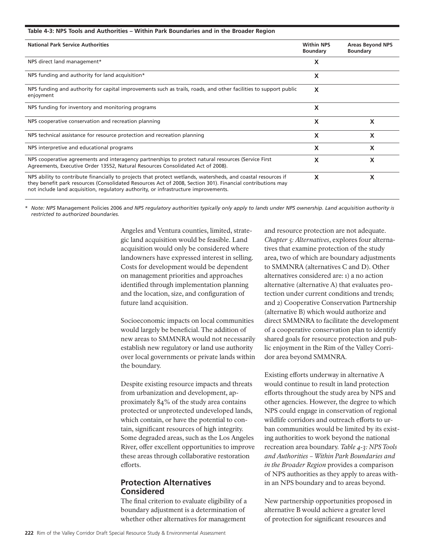#### **Table 4-3: NPS Tools and Authorities – Within Park Boundaries and in the Broader Region**

| <b>National Park Service Authorities</b>                                                                                                                                                                                                                                                                           | <b>Within NPS</b><br><b>Boundary</b> | <b>Areas Beyond NPS</b><br><b>Boundary</b> |
|--------------------------------------------------------------------------------------------------------------------------------------------------------------------------------------------------------------------------------------------------------------------------------------------------------------------|--------------------------------------|--------------------------------------------|
| NPS direct land management*                                                                                                                                                                                                                                                                                        | X                                    |                                            |
| NPS funding and authority for land acquisition*                                                                                                                                                                                                                                                                    | X                                    |                                            |
| NPS funding and authority for capital improvements such as trails, roads, and other facilities to support public<br>enjoyment                                                                                                                                                                                      | X                                    |                                            |
| NPS funding for inventory and monitoring programs                                                                                                                                                                                                                                                                  | X                                    |                                            |
| NPS cooperative conservation and recreation planning                                                                                                                                                                                                                                                               | X                                    | X                                          |
| NPS technical assistance for resource protection and recreation planning                                                                                                                                                                                                                                           | X                                    | x                                          |
| NPS interpretive and educational programs                                                                                                                                                                                                                                                                          | X                                    | x                                          |
| NPS cooperative agreements and interagency partnerships to protect natural resources (Service First<br>Agreements, Executive Order 13552, Natural Resources Consolidated Act of 2008).                                                                                                                             | X                                    | X                                          |
| NPS ability to contribute financially to projects that protect wetlands, watersheds, and coastal resources if<br>they benefit park resources (Consolidated Resources Act of 2008, Section 301). Financial contributions may<br>not include land acquisition, regulatory authority, or infrastructure improvements. | X                                    | x                                          |

\* *Note: NPS* Management Policies 2006 *and NPS regulatory authorities typically only apply to lands under NPS ownership. Land acquisition authority is restricted to authorized boundaries.* 

> Angeles and Ventura counties, limited, strategic land acquisition would be feasible. Land acquisition would only be considered where landowners have expressed interest in selling. Costs for development would be dependent on management priorities and approaches identified through implementation planning and the location, size, and configuration of future land acquisition.

Socioeconomic impacts on local communities would largely be beneficial. The addition of new areas to SMMNRA would not necessarily establish new regulatory or land use authority over local governments or private lands within the boundary.

Despite existing resource impacts and threats from urbanization and development, approximately 84% of the study area contains protected or unprotected undeveloped lands, which contain, or have the potential to contain, significant resources of high integrity. Some degraded areas, such as the Los Angeles River, offer excellent opportunities to improve these areas through collaborative restoration efforts.

## **Protection Alternatives Considered**

The final criterion to evaluate eligibility of a boundary adjustment is a determination of whether other alternatives for management

and resource protection are not adequate. *Chapter 5: Alternatives*, explores four alternatives that examine protection of the study area, two of which are boundary adjustments to SMMNRA (alternatives C and D). Other alternatives considered are: 1) a no action alternative (alternative A) that evaluates protection under current conditions and trends; and 2) Cooperative Conservation Partnership (alternative B) which would authorize and direct SMMNRA to facilitate the development of a cooperative conservation plan to identify shared goals for resource protection and public enjoyment in the Rim of the Valley Corridor area beyond SMMNRA.

Existing efforts underway in alternative A would continue to result in land protection efforts throughout the study area by NPS and other agencies. However, the degree to which NPS could engage in conservation of regional wildlife corridors and outreach efforts to urban communities would be limited by its existing authorities to work beyond the national recreation area boundary. *Table 4-3: NPS Tools and Authorities – Within Park Boundaries and in the Broader Region* provides a comparison of NPS authorities as they apply to areas within an NPS boundary and to areas beyond.

New partnership opportunities proposed in alternative B would achieve a greater level of protection for significant resources and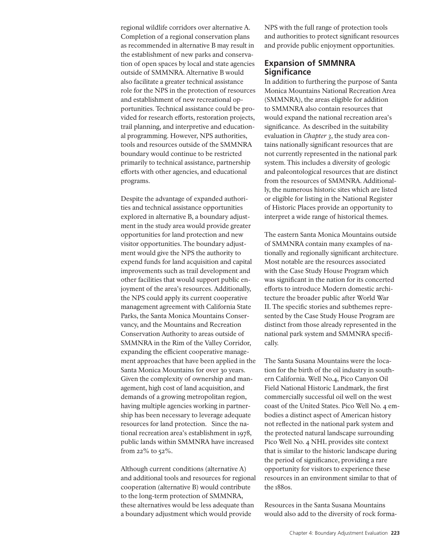regional wildlife corridors over alternative A. Completion of a regional conservation plans as recommended in alternative B may result in the establishment of new parks and conservation of open spaces by local and state agencies outside of SMMNRA. Alternative B would also facilitate a greater technical assistance role for the NPS in the protection of resources and establishment of new recreational opportunities. Technical assistance could be provided for research efforts, restoration projects, trail planning, and interpretive and educational programming. However, NPS authorities, tools and resources outside of the SMMNRA boundary would continue to be restricted primarily to technical assistance, partnership efforts with other agencies, and educational programs.

Despite the advantage of expanded authorities and technical assistance opportunities explored in alternative B, a boundary adjustment in the study area would provide greater opportunities for land protection and new visitor opportunities. The boundary adjustment would give the NPS the authority to expend funds for land acquisition and capital improvements such as trail development and other facilities that would support public enjoyment of the area's resources. Additionally, the NPS could apply its current cooperative management agreement with California State Parks, the Santa Monica Mountains Conservancy, and the Mountains and Recreation Conservation Authority to areas outside of SMMNRA in the Rim of the Valley Corridor, expanding the efficient cooperative management approaches that have been applied in the Santa Monica Mountains for over 30 years. Given the complexity of ownership and management, high cost of land acquisition, and demands of a growing metropolitan region, having multiple agencies working in partnership has been necessary to leverage adequate resources for land protection. Since the national recreation area's establishment in 1978, public lands within SMMNRA have increased from 22% to 52%.

Although current conditions (alternative A) and additional tools and resources for regional cooperation (alternative B) would contribute to the long-term protection of SMMNRA, these alternatives would be less adequate than a boundary adjustment which would provide

NPS with the full range of protection tools and authorities to protect significant resources and provide public enjoyment opportunities.

## **Expansion of SMMNRA Significance**

In addition to furthering the purpose of Santa Monica Mountains National Recreation Area (SMMNRA), the areas eligible for addition to SMMNRA also contain resources that would expand the national recreation area's significance. As described in the suitability evaluation in *Chapter 3*, the study area contains nationally significant resources that are not currently represented in the national park system. This includes a diversity of geologic and paleontological resources that are distinct from the resources of SMMNRA. Additionally, the numerous historic sites which are listed or eligible for listing in the National Register of Historic Places provide an opportunity to interpret a wide range of historical themes.

The eastern Santa Monica Mountains outside of SMMNRA contain many examples of nationally and regionally significant architecture. Most notable are the resources associated with the Case Study House Program which was significant in the nation for its concerted efforts to introduce Modern domestic architecture the broader public after World War II. The specific stories and subthemes represented by the Case Study House Program are distinct from those already represented in the national park system and SMMNRA specifically.

The Santa Susana Mountains were the location for the birth of the oil industry in southern California. Well No.4, Pico Canyon Oil Field National Historic Landmark, the first commercially successful oil well on the west coast of the United States. Pico Well No. 4 embodies a distinct aspect of American history not reflected in the national park system and the protected natural landscape surrounding Pico Well No. 4 NHL provides site context that is similar to the historic landscape during the period of significance, providing a rare opportunity for visitors to experience these resources in an environment similar to that of the 1880s.

Resources in the Santa Susana Mountains would also add to the diversity of rock forma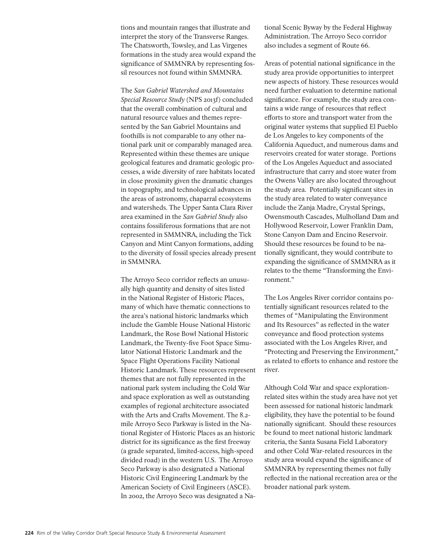tions and mountain ranges that illustrate and interpret the story of the Transverse Ranges. The Chatsworth, Towsley, and Las Virgenes formations in the study area would expand the significance of SMMNRA by representing fossil resources not found within SMMNRA.

The *San Gabriel Watershed and Mountains Special Resource Study* (NPS 2013f) concluded that the overall combination of cultural and natural resource values and themes represented by the San Gabriel Mountains and foothills is not comparable to any other national park unit or comparably managed area. Represented within these themes are unique geological features and dramatic geologic processes, a wide diversity of rare habitats located in close proximity given the dramatic changes in topography, and technological advances in the areas of astronomy, chaparral ecosystems and watersheds. The Upper Santa Clara River area examined in the *San Gabriel Study* also contains fossiliferous formations that are not represented in SMMNRA, including the Tick Canyon and Mint Canyon formations, adding to the diversity of fossil species already present in SMMNRA.

The Arroyo Seco corridor reflects an unusually high quantity and density of sites listed in the National Register of Historic Places, many of which have thematic connections to the area's national historic landmarks which include the Gamble House National Historic Landmark, the Rose Bowl National Historic Landmark, the Twenty-five Foot Space Simulator National Historic Landmark and the Space Flight Operations Facility National Historic Landmark. These resources represent themes that are not fully represented in the national park system including the Cold War and space exploration as well as outstanding examples of regional architecture associated with the Arts and Crafts Movement. The 8.2 mile Arroyo Seco Parkway is listed in the National Register of Historic Places as an historic district for its significance as the first freeway (a grade separated, limited-access, high-speed divided road) in the western U.S. The Arroyo Seco Parkway is also designated a National Historic Civil Engineering Landmark by the American Society of Civil Engineers (ASCE). In 2002, the Arroyo Seco was designated a National Scenic Byway by the Federal Highway Administration. The Arroyo Seco corridor also includes a segment of Route 66.

Areas of potential national significance in the study area provide opportunities to interpret new aspects of history. These resources would need further evaluation to determine national significance. For example, the study area contains a wide range of resources that reflect efforts to store and transport water from the original water systems that supplied El Pueblo de Los Angeles to key components of the California Aqueduct, and numerous dams and reservoirs created for water storage. Portions of the Los Angeles Aqueduct and associated infrastructure that carry and store water from the Owens Valley are also located throughout the study area. Potentially significant sites in the study area related to water conveyance include the Zanja Madre, Crystal Springs, Owensmouth Cascades, Mulholland Dam and Hollywood Reservoir, Lower Franklin Dam, Stone Canyon Dam and Encino Reservoir. Should these resources be found to be nationally significant, they would contribute to expanding the significance of SMMNRA as it relates to the theme "Transforming the Environment."

The Los Angeles River corridor contains potentially significant resources related to the themes of "Manipulating the Environment and Its Resources" as reflected in the water conveyance and flood protection systems associated with the Los Angeles River, and "Protecting and Preserving the Environment," as related to efforts to enhance and restore the river.

Although Cold War and space explorationrelated sites within the study area have not yet been assessed for national historic landmark eligibility, they have the potential to be found nationally significant. Should these resources be found to meet national historic landmark criteria, the Santa Susana Field Laboratory and other Cold War-related resources in the study area would expand the significance of SMMNRA by representing themes not fully reflected in the national recreation area or the broader national park system.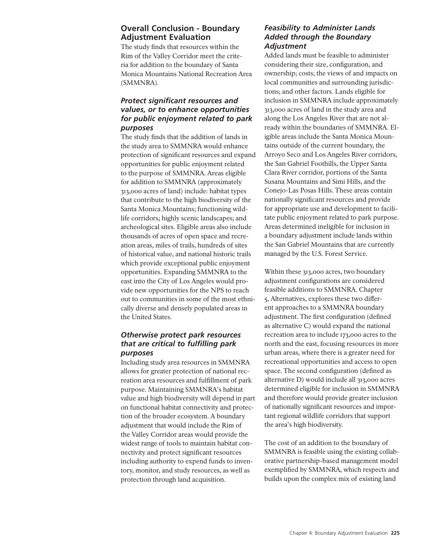## **Overall Conclusion - Boundary Adjustment Evaluation**

The study finds that resources within the Rim of the Valley Corridor meet the criteria for addition to the boundary of Santa Monica Mountains National Recreation Area (SMMNRA).

## *Protect significant resources and values, or to enhance opportunities for public enjoyment related to park purposes*

The study finds that the addition of lands in the study area to SMMNRA would enhance protection of significant resources and expand opportunities for public enjoyment related to the purpose of SMMNRA. Areas eligible for addition to SMMNRA (approximately 313,000 acres of land) include: habitat types that contribute to the high biodiversity of the Santa Monica Mountains; functioning wildlife corridors; highly scenic landscapes; and archeological sites. Eligible areas also include thousands of acres of open space and recreation areas, miles of trails, hundreds of sites of historical value, and national historic trails which provide exceptional public enjoyment opportunities. Expanding SMMNRA to the east into the City of Los Angeles would provide new opportunities for the NPS to reach out to communities in some of the most ethnically diverse and densely populated areas in the United States.

## *Otherwise protect park resources that are critical to fulfilling park purposes*

Including study area resources in SMMNRA allows for greater protection of national recreation area resources and fulfillment of park purpose. Maintaining SMMNRA's habitat value and high biodiversity will depend in part on functional habitat connectivity and protection of the broader ecosystem. A boundary adjustment that would include the Rim of the Valley Corridor areas would provide the widest range of tools to maintain habitat connectivity and protect significant resources including authority to expend funds to inventory, monitor, and study resources, as well as protection through land acquisition.

## *Feasibility to Administer Lands Added through the Boundary Adjustment*

Added lands must be feasible to administer considering their size, configuration, and ownership; costs; the views of and impacts on local communities and surrounding jurisdictions; and other factors. Lands eligible for inclusion in SMMNRA include approximately 313,000 acres of land in the study area and along the Los Angeles River that are not already within the boundaries of SMMNRA. Eligible areas include the Santa Monica Mountains outside of the current boundary, the Arroyo Seco and Los Angeles River corridors, the San Gabriel Foothills, the Upper Santa Clara River corridor, portions of the Santa Susana Mountains and Simi Hills, and the Conejo-Las Posas Hills. These areas contain nationally significant resources and provide for appropriate use and development to facilitate public enjoyment related to park purpose. Areas determined ineligible for inclusion in a boundary adjustment include lands within the San Gabriel Mountains that are currently managed by the U.S. Forest Service.

Within these 313,000 acres, two boundary adjustment configurations are considered feasible additions to SMMNRA. Chapter 5, Alternatives, explores these two different approaches to a SMMNRA boundary adjustment. The first configuration (defined as alternative C) would expand the national recreation area to include 173,000 acres to the north and the east, focusing resources in more urban areas, where there is a greater need for recreational opportunities and access to open space. The second configuration (defined as alternative D) would include all 313,000 acres determined eligible for inclusion in SMMNRA and therefore would provide greater inclusion of nationally significant resources and important regional wildlife corridors that support the area's high biodiversity.

The cost of an addition to the boundary of SMMNRA is feasible using the existing collaborative partnership-based management model exemplified by SMMNRA, which respects and builds upon the complex mix of existing land